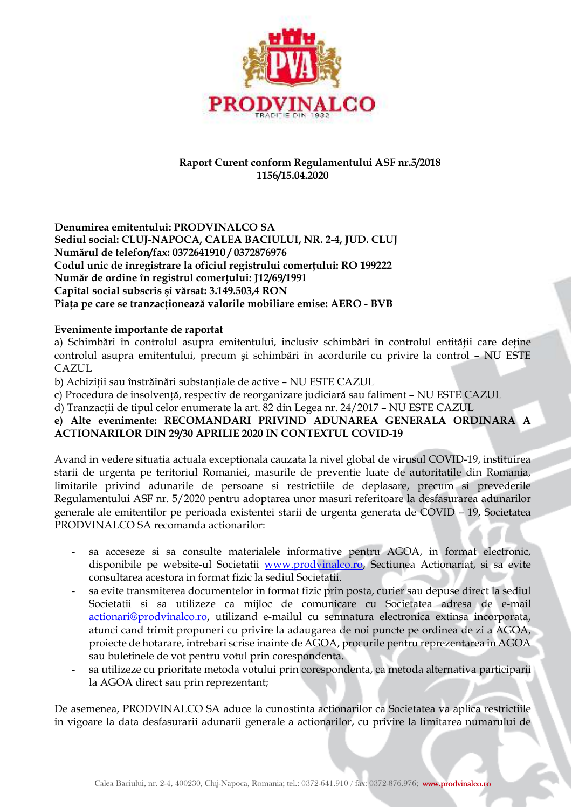

## **Raport Curent conform Regulamentului ASF nr.5/2018 1156/15.04.2020**

**Denumirea emitentului: PRODVINALCO SA Sediul social: CLUJ-NAPOCA, CALEA BACIULUI, NR. 2-4, JUD. CLUJ Numărul de telefon/fax: 0372641910 / 0372876976 Codul unic de înregistrare la oficiul registrului comerţului: RO 199222 Număr de ordine în registrul comerţului: J12/69/1991 Capital social subscris şi vărsat: 3.149.503,4 RON Piaţa pe care se tranzacţionează valorile mobiliare emise: AERO - BVB** 

## **Evenimente importante de raportat**

a) Schimbări în controlul asupra emitentului, inclusiv schimbări în controlul entității care deține controlul asupra emitentului, precum şi schimbări în acordurile cu privire la control – NU ESTE CAZUL

b) Achiziții sau înstrăinări substanțiale de active - NU ESTE CAZUL

c) Procedura de insolvenţă, respectiv de reorganizare judiciară sau faliment – NU ESTE CAZUL

d) Tranzacții de tipul celor enumerate la art. 82 din Legea nr. 24/2017 - NU ESTE CAZUL

## **e) Alte evenimente: RECOMANDARI PRIVIND ADUNAREA GENERALA ORDINARA A ACTIONARILOR DIN 29/30 APRILIE 2020 IN CONTEXTUL COVID-19**

Avand in vedere situatia actuala exceptionala cauzata la nivel global de virusul COVID-19, instituirea starii de urgenta pe teritoriul Romaniei, masurile de preventie luate de autoritatile din Romania, limitarile privind adunarile de persoane si restrictiile de deplasare, precum si prevederile Regulamentului ASF nr. 5/2020 pentru adoptarea unor masuri referitoare la desfasurarea adunarilor generale ale emitentilor pe perioada existentei starii de urgenta generata de COVID – 19, Societatea PRODVINALCO SA recomanda actionarilor:

- sa acceseze si sa consulte materialele informative pentru AGOA, in format electronic, disponibile pe website-ul Societatii www.prodvinalco.ro, Sectiunea Actionariat, si sa evite consultarea acestora in format fizic la sediul Societatii.
- sa evite transmiterea documentelor in format fizic prin posta, curier sau depuse direct la sediul Societatii si sa utilizeze ca mijloc de comunicare cu Societatea adresa de e-mail actionari@prodvinalco.ro, utilizand e-mailul cu semnatura electronica extinsa incorporata, atunci cand trimit propuneri cu privire la adaugarea de noi puncte pe ordinea de zi a AGOA, proiecte de hotarare, intrebari scrise inainte de AGOA, procurile pentru reprezentarea in AGOA sau buletinele de vot pentru votul prin corespondenta.
- sa utilizeze cu prioritate metoda votului prin corespondenta, ca metoda alternativa participarii la AGOA direct sau prin reprezentant;

De asemenea, PRODVINALCO SA aduce la cunostinta actionarilor ca Societatea va aplica restrictiile in vigoare la data desfasurarii adunarii generale a actionarilor, cu privire la limitarea numarului de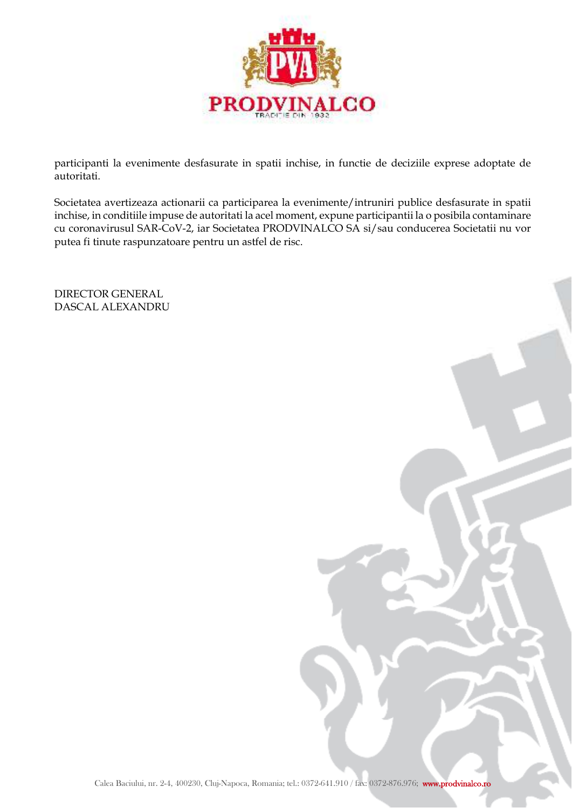

participanti la evenimente desfasurate in spatii inchise, in functie de deciziile exprese adoptate de autoritati.

Societatea avertizeaza actionarii ca participarea la evenimente/intruniri publice desfasurate in spatii inchise, in conditiile impuse de autoritati la acel moment, expune participantii la o posibila contaminare cu coronavirusul SAR-CoV-2, iar Societatea PRODVINALCO SA si/sau conducerea Societatii nu vor putea fi tinute raspunzatoare pentru un astfel de risc.

DIRECTOR GENERAL DASCAL ALEXANDRU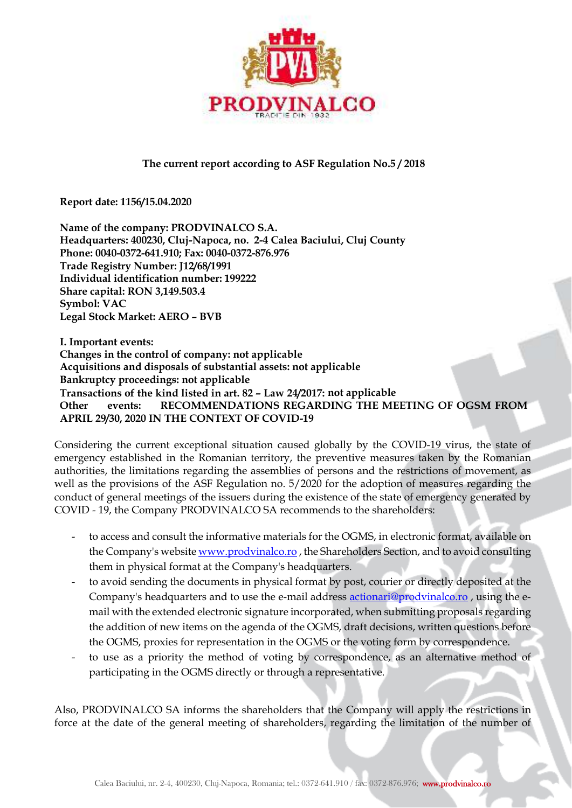

## **The current report according to ASF Regulation No.5 / 2018**

**Report date: 1156/15.04.2020** 

**Name of the company: PRODVINALCO S.A. Headquarters: 400230, Cluj-Napoca, no. 2-4 Calea Baciului, Cluj County Phone: 0040-0372-641.910; Fax: 0040-0372-876.976 Trade Registry Number: J12/68/1991 Individual identification number: 199222 Share capital: RON 3,149.503.4 Symbol: VAC Legal Stock Market: AERO – BVB** 

**I. Important events: Changes in the control of company: not applicable Acquisitions and disposals of substantial assets: not applicable Bankruptcy proceedings: not applicable Transactions of the kind listed in art. 82 – Law 24/2017: not applicable Other events: RECOMMENDATIONS REGARDING THE MEETING OF OGSM FROM APRIL 29/30, 2020 IN THE CONTEXT OF COVID-19** 

Considering the current exceptional situation caused globally by the COVID-19 virus, the state of emergency established in the Romanian territory, the preventive measures taken by the Romanian authorities, the limitations regarding the assemblies of persons and the restrictions of movement, as well as the provisions of the ASF Regulation no. 5/2020 for the adoption of measures regarding the conduct of general meetings of the issuers during the existence of the state of emergency generated by COVID - 19, the Company PRODVINALCO SA recommends to the shareholders:

- to access and consult the informative materials for the OGMS, in electronic format, available on the Company's website www.prodvinalco.ro , the Shareholders Section, and to avoid consulting them in physical format at the Company's headquarters.
- to avoid sending the documents in physical format by post, courier or directly deposited at the Company's headquarters and to use the e-mail address actionari@prodvinalco.ro , using the email with the extended electronic signature incorporated, when submitting proposals regarding the addition of new items on the agenda of the OGMS, draft decisions, written questions before the OGMS, proxies for representation in the OGMS or the voting form by correspondence.
- to use as a priority the method of voting by correspondence, as an alternative method of participating in the OGMS directly or through a representative.

Also, PRODVINALCO SA informs the shareholders that the Company will apply the restrictions in force at the date of the general meeting of shareholders, regarding the limitation of the number of